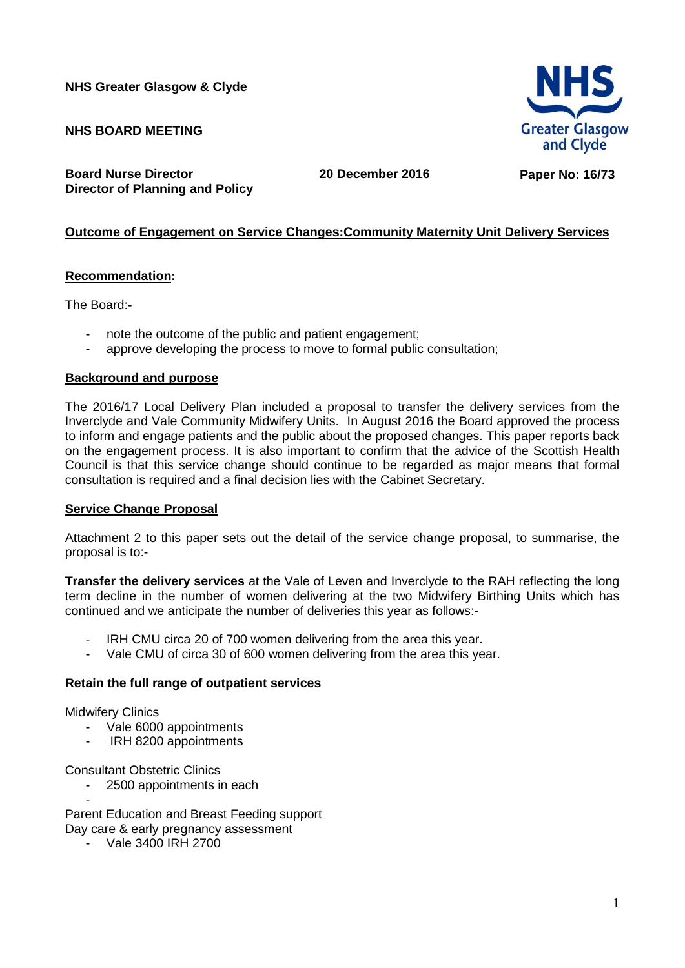**NHS Greater Glasgow & Clyde**

**NHS BOARD MEETING** 

**Board Nurse Director Director of Planning and Policy** **20 December 2016 Paper No: 16/73**

## **Outcome of Engagement on Service Changes:Community Maternity Unit Delivery Services**

### **Recommendation:**

The Board:-

- note the outcome of the public and patient engagement;
- approve developing the process to move to formal public consultation;

### **Background and purpose**

The 2016/17 Local Delivery Plan included a proposal to transfer the delivery services from the Inverclyde and Vale Community Midwifery Units. In August 2016 the Board approved the process to inform and engage patients and the public about the proposed changes. This paper reports back on the engagement process. It is also important to confirm that the advice of the Scottish Health Council is that this service change should continue to be regarded as major means that formal consultation is required and a final decision lies with the Cabinet Secretary.

### **Service Change Proposal**

Attachment 2 to this paper sets out the detail of the service change proposal, to summarise, the proposal is to:-

**Transfer the delivery services** at the Vale of Leven and Inverclyde to the RAH reflecting the long term decline in the number of women delivering at the two Midwifery Birthing Units which has continued and we anticipate the number of deliveries this year as follows:-

- IRH CMU circa 20 of 700 women delivering from the area this year.
- Vale CMU of circa 30 of 600 women delivering from the area this year.

### **Retain the full range of outpatient services**

Midwifery Clinics

- Vale 6000 appointments
- IRH 8200 appointments

Consultant Obstetric Clinics

2500 appointments in each

- Parent Education and Breast Feeding support Day care & early pregnancy assessment

- Vale 3400 IRH 2700

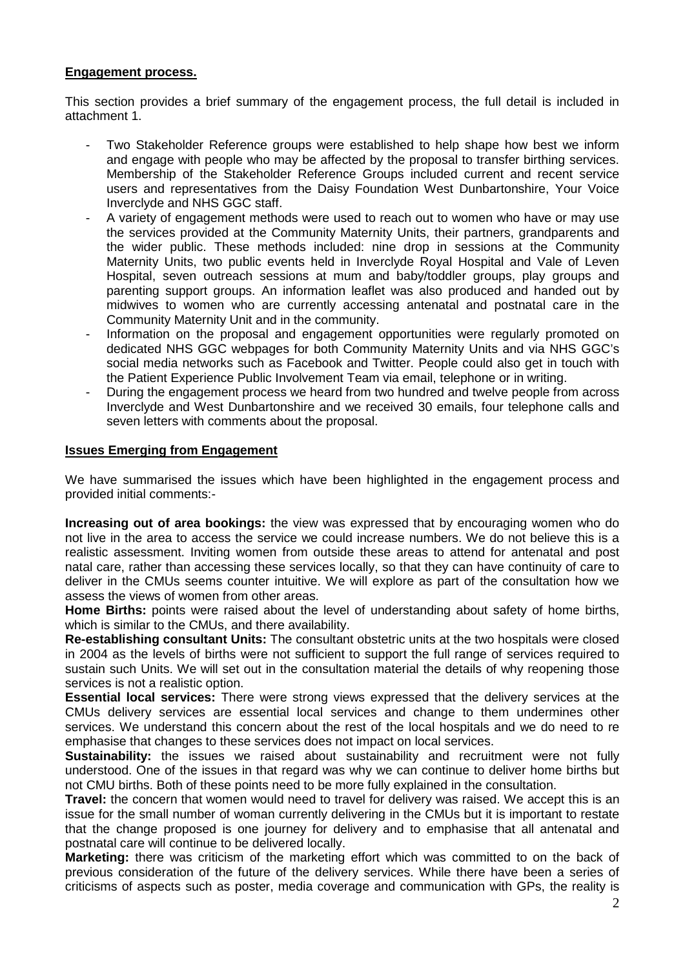### **Engagement process.**

This section provides a brief summary of the engagement process, the full detail is included in attachment 1.

- Two Stakeholder Reference groups were established to help shape how best we inform and engage with people who may be affected by the proposal to transfer birthing services. Membership of the Stakeholder Reference Groups included current and recent service users and representatives from the Daisy Foundation West Dunbartonshire, Your Voice Inverclyde and NHS GGC staff.
- A variety of engagement methods were used to reach out to women who have or may use the services provided at the Community Maternity Units, their partners, grandparents and the wider public. These methods included: nine drop in sessions at the Community Maternity Units, two public events held in Inverclyde Royal Hospital and Vale of Leven Hospital, seven outreach sessions at mum and baby/toddler groups, play groups and parenting support groups. An information leaflet was also produced and handed out by midwives to women who are currently accessing antenatal and postnatal care in the Community Maternity Unit and in the community.
- Information on the proposal and engagement opportunities were regularly promoted on dedicated NHS GGC webpages for both Community Maternity Units and via NHS GGC's social media networks such as Facebook and Twitter. People could also get in touch with the Patient Experience Public Involvement Team via email, telephone or in writing.
- During the engagement process we heard from two hundred and twelve people from across Inverclyde and West Dunbartonshire and we received 30 emails, four telephone calls and seven letters with comments about the proposal.

#### **Issues Emerging from Engagement**

We have summarised the issues which have been highlighted in the engagement process and provided initial comments:-

**Increasing out of area bookings:** the view was expressed that by encouraging women who do not live in the area to access the service we could increase numbers. We do not believe this is a realistic assessment. Inviting women from outside these areas to attend for antenatal and post natal care, rather than accessing these services locally, so that they can have continuity of care to deliver in the CMUs seems counter intuitive. We will explore as part of the consultation how we assess the views of women from other areas.

**Home Births:** points were raised about the level of understanding about safety of home births, which is similar to the CMUs, and there availability.

**Re-establishing consultant Units:** The consultant obstetric units at the two hospitals were closed in 2004 as the levels of births were not sufficient to support the full range of services required to sustain such Units. We will set out in the consultation material the details of why reopening those services is not a realistic option.

**Essential local services:** There were strong views expressed that the delivery services at the CMUs delivery services are essential local services and change to them undermines other services. We understand this concern about the rest of the local hospitals and we do need to re emphasise that changes to these services does not impact on local services.

**Sustainability:** the issues we raised about sustainability and recruitment were not fully understood. One of the issues in that regard was why we can continue to deliver home births but not CMU births. Both of these points need to be more fully explained in the consultation.

**Travel:** the concern that women would need to travel for delivery was raised. We accept this is an issue for the small number of woman currently delivering in the CMUs but it is important to restate that the change proposed is one journey for delivery and to emphasise that all antenatal and postnatal care will continue to be delivered locally.

**Marketing:** there was criticism of the marketing effort which was committed to on the back of previous consideration of the future of the delivery services. While there have been a series of criticisms of aspects such as poster, media coverage and communication with GPs, the reality is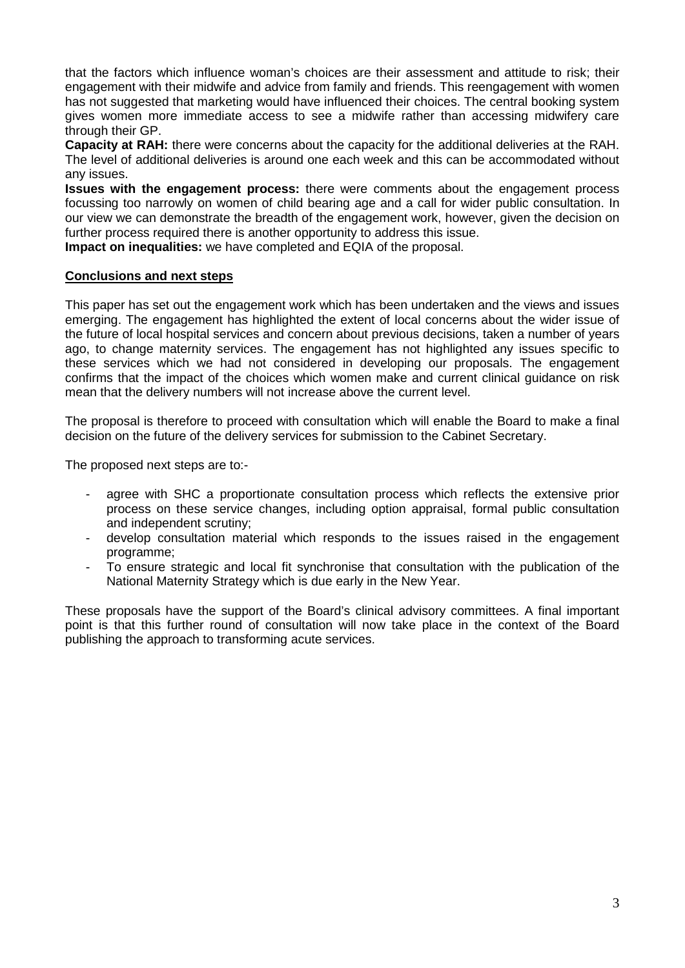that the factors which influence woman's choices are their assessment and attitude to risk; their engagement with their midwife and advice from family and friends. This reengagement with women has not suggested that marketing would have influenced their choices. The central booking system gives women more immediate access to see a midwife rather than accessing midwifery care through their GP.

**Capacity at RAH:** there were concerns about the capacity for the additional deliveries at the RAH. The level of additional deliveries is around one each week and this can be accommodated without any issues.

**Issues with the engagement process:** there were comments about the engagement process focussing too narrowly on women of child bearing age and a call for wider public consultation. In our view we can demonstrate the breadth of the engagement work, however, given the decision on further process required there is another opportunity to address this issue.

**Impact on inequalities:** we have completed and EQIA of the proposal.

### **Conclusions and next steps**

This paper has set out the engagement work which has been undertaken and the views and issues emerging. The engagement has highlighted the extent of local concerns about the wider issue of the future of local hospital services and concern about previous decisions, taken a number of years ago, to change maternity services. The engagement has not highlighted any issues specific to these services which we had not considered in developing our proposals. The engagement confirms that the impact of the choices which women make and current clinical guidance on risk mean that the delivery numbers will not increase above the current level.

The proposal is therefore to proceed with consultation which will enable the Board to make a final decision on the future of the delivery services for submission to the Cabinet Secretary.

The proposed next steps are to:-

- agree with SHC a proportionate consultation process which reflects the extensive prior process on these service changes, including option appraisal, formal public consultation and independent scrutiny;
- develop consultation material which responds to the issues raised in the engagement programme;
- To ensure strategic and local fit synchronise that consultation with the publication of the National Maternity Strategy which is due early in the New Year.

These proposals have the support of the Board's clinical advisory committees. A final important point is that this further round of consultation will now take place in the context of the Board publishing the approach to transforming acute services.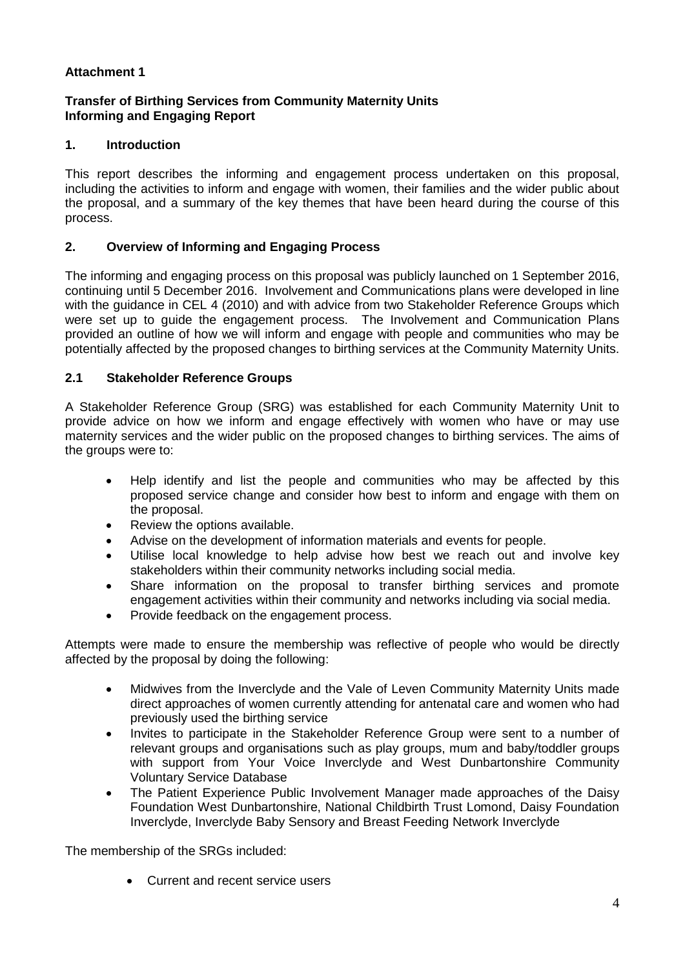## **Attachment 1**

## **Transfer of Birthing Services from Community Maternity Units Informing and Engaging Report**

## **1. Introduction**

This report describes the informing and engagement process undertaken on this proposal, including the activities to inform and engage with women, their families and the wider public about the proposal, and a summary of the key themes that have been heard during the course of this process.

### **2. Overview of Informing and Engaging Process**

The informing and engaging process on this proposal was publicly launched on 1 September 2016, continuing until 5 December 2016. Involvement and Communications plans were developed in line with the guidance in CEL 4 (2010) and with advice from two Stakeholder Reference Groups which were set up to guide the engagement process. The Involvement and Communication Plans provided an outline of how we will inform and engage with people and communities who may be potentially affected by the proposed changes to birthing services at the Community Maternity Units.

### **2.1 Stakeholder Reference Groups**

A Stakeholder Reference Group (SRG) was established for each Community Maternity Unit to provide advice on how we inform and engage effectively with women who have or may use maternity services and the wider public on the proposed changes to birthing services. The aims of the groups were to:

- Help identify and list the people and communities who may be affected by this proposed service change and consider how best to inform and engage with them on the proposal.
- Review the options available.
- Advise on the development of information materials and events for people.
- Utilise local knowledge to help advise how best we reach out and involve key stakeholders within their community networks including social media.
- Share information on the proposal to transfer birthing services and promote engagement activities within their community and networks including via social media.
- Provide feedback on the engagement process.

Attempts were made to ensure the membership was reflective of people who would be directly affected by the proposal by doing the following:

- Midwives from the Inverclyde and the Vale of Leven Community Maternity Units made direct approaches of women currently attending for antenatal care and women who had previously used the birthing service
- Invites to participate in the Stakeholder Reference Group were sent to a number of relevant groups and organisations such as play groups, mum and baby/toddler groups with support from Your Voice Inverclyde and West Dunbartonshire Community Voluntary Service Database
- The Patient Experience Public Involvement Manager made approaches of the Daisy Foundation West Dunbartonshire, National Childbirth Trust Lomond, Daisy Foundation Inverclyde, Inverclyde Baby Sensory and Breast Feeding Network Inverclyde

The membership of the SRGs included:

• Current and recent service users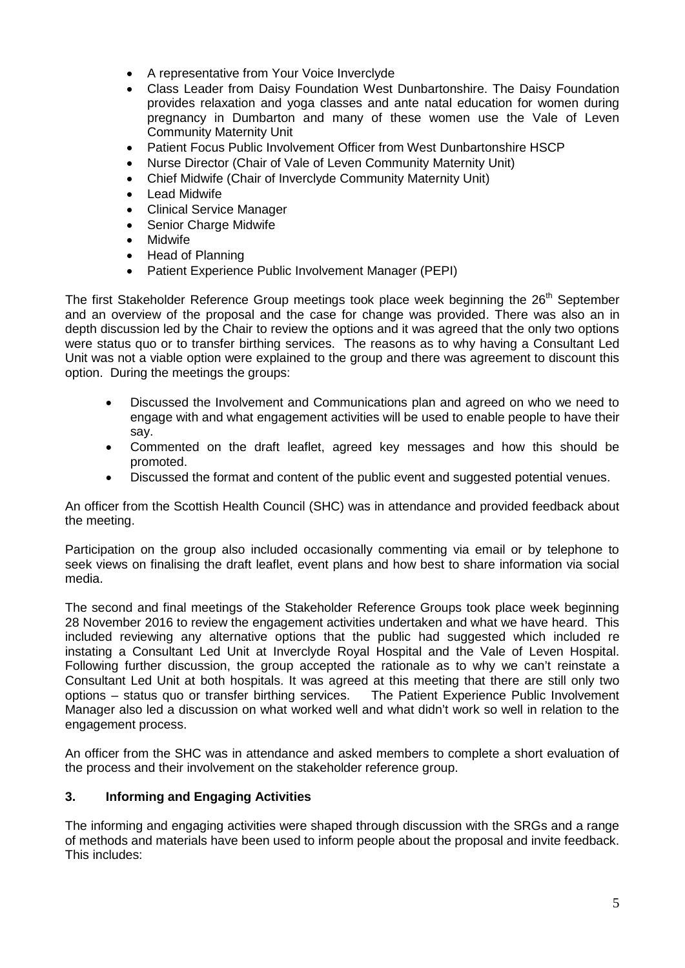- A representative from Your Voice Inverclyde
- Class Leader from Daisy Foundation West Dunbartonshire. The Daisy Foundation provides relaxation and yoga classes and ante natal education for women during pregnancy in Dumbarton and many of these women use the Vale of Leven Community Maternity Unit
- Patient Focus Public Involvement Officer from West Dunbartonshire HSCP
- Nurse Director (Chair of Vale of Leven Community Maternity Unit)
- Chief Midwife (Chair of Inverclyde Community Maternity Unit)
- **Lead Midwife**
- Clinical Service Manager
- Senior Charge Midwife
- Midwife
- Head of Planning
- Patient Experience Public Involvement Manager (PEPI)

The first Stakeholder Reference Group meetings took place week beginning the 26<sup>th</sup> September and an overview of the proposal and the case for change was provided. There was also an in depth discussion led by the Chair to review the options and it was agreed that the only two options were status quo or to transfer birthing services. The reasons as to why having a Consultant Led Unit was not a viable option were explained to the group and there was agreement to discount this option. During the meetings the groups:

- Discussed the Involvement and Communications plan and agreed on who we need to engage with and what engagement activities will be used to enable people to have their say.
- Commented on the draft leaflet, agreed key messages and how this should be promoted.
- Discussed the format and content of the public event and suggested potential venues.

An officer from the Scottish Health Council (SHC) was in attendance and provided feedback about the meeting.

Participation on the group also included occasionally commenting via email or by telephone to seek views on finalising the draft leaflet, event plans and how best to share information via social media.

The second and final meetings of the Stakeholder Reference Groups took place week beginning 28 November 2016 to review the engagement activities undertaken and what we have heard. This included reviewing any alternative options that the public had suggested which included re instating a Consultant Led Unit at Inverclyde Royal Hospital and the Vale of Leven Hospital. Following further discussion, the group accepted the rationale as to why we can't reinstate a Consultant Led Unit at both hospitals. It was agreed at this meeting that there are still only two options – status quo or transfer birthing services. The Patient Experience Public Involvement Manager also led a discussion on what worked well and what didn't work so well in relation to the engagement process.

An officer from the SHC was in attendance and asked members to complete a short evaluation of the process and their involvement on the stakeholder reference group.

## **3. Informing and Engaging Activities**

The informing and engaging activities were shaped through discussion with the SRGs and a range of methods and materials have been used to inform people about the proposal and invite feedback. This includes: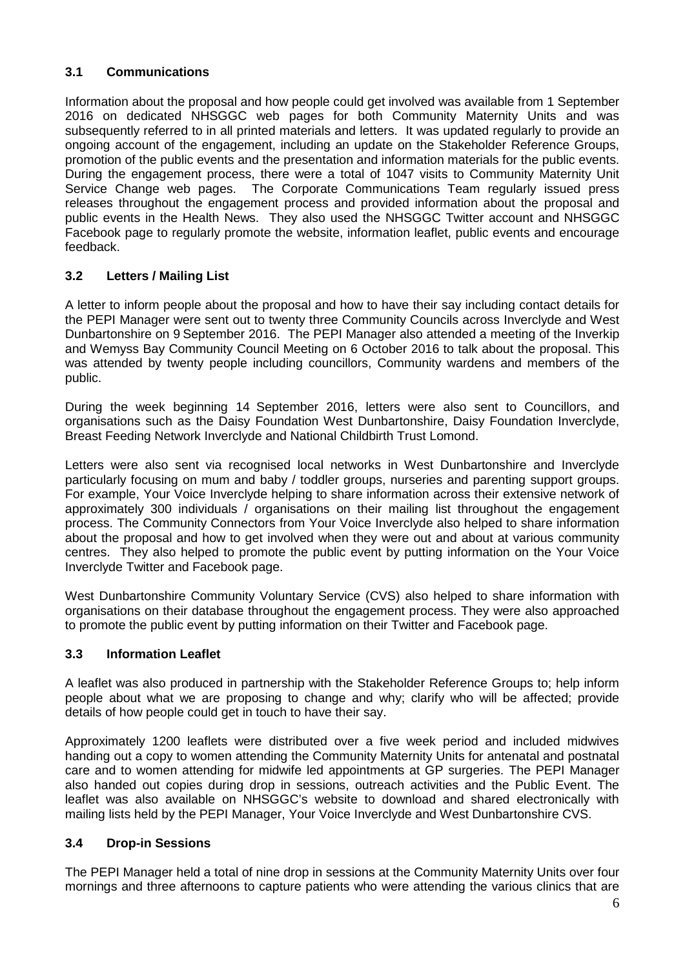## **3.1 Communications**

Information about the proposal and how people could get involved was available from 1 September 2016 on dedicated NHSGGC web pages for both Community Maternity Units and was subsequently referred to in all printed materials and letters. It was updated regularly to provide an ongoing account of the engagement, including an update on the Stakeholder Reference Groups, promotion of the public events and the presentation and information materials for the public events. During the engagement process, there were a total of 1047 visits to Community Maternity Unit Service Change web pages. The Corporate Communications Team regularly issued press releases throughout the engagement process and provided information about the proposal and public events in the Health News. They also used the NHSGGC Twitter account and NHSGGC Facebook page to regularly promote the website, information leaflet, public events and encourage feedback.

## **3.2 Letters / Mailing List**

A letter to inform people about the proposal and how to have their say including contact details for the PEPI Manager were sent out to twenty three Community Councils across Inverclyde and West Dunbartonshire on 9 September 2016. The PEPI Manager also attended a meeting of the Inverkip and Wemyss Bay Community Council Meeting on 6 October 2016 to talk about the proposal. This was attended by twenty people including councillors, Community wardens and members of the public.

During the week beginning 14 September 2016, letters were also sent to Councillors, and organisations such as the Daisy Foundation West Dunbartonshire, Daisy Foundation Inverclyde, Breast Feeding Network Inverclyde and National Childbirth Trust Lomond.

Letters were also sent via recognised local networks in West Dunbartonshire and Inverclyde particularly focusing on mum and baby / toddler groups, nurseries and parenting support groups. For example, Your Voice Inverclyde helping to share information across their extensive network of approximately 300 individuals / organisations on their mailing list throughout the engagement process. The Community Connectors from Your Voice Inverclyde also helped to share information about the proposal and how to get involved when they were out and about at various community centres. They also helped to promote the public event by putting information on the Your Voice Inverclyde Twitter and Facebook page.

West Dunbartonshire Community Voluntary Service (CVS) also helped to share information with organisations on their database throughout the engagement process. They were also approached to promote the public event by putting information on their Twitter and Facebook page.

## **3.3 Information Leaflet**

A leaflet was also produced in partnership with the Stakeholder Reference Groups to; help inform people about what we are proposing to change and why; clarify who will be affected; provide details of how people could get in touch to have their say.

Approximately 1200 leaflets were distributed over a five week period and included midwives handing out a copy to women attending the Community Maternity Units for antenatal and postnatal care and to women attending for midwife led appointments at GP surgeries. The PEPI Manager also handed out copies during drop in sessions, outreach activities and the Public Event. The leaflet was also available on NHSGGC's website to download and shared electronically with mailing lists held by the PEPI Manager, Your Voice Inverclyde and West Dunbartonshire CVS.

## **3.4 Drop-in Sessions**

The PEPI Manager held a total of nine drop in sessions at the Community Maternity Units over four mornings and three afternoons to capture patients who were attending the various clinics that are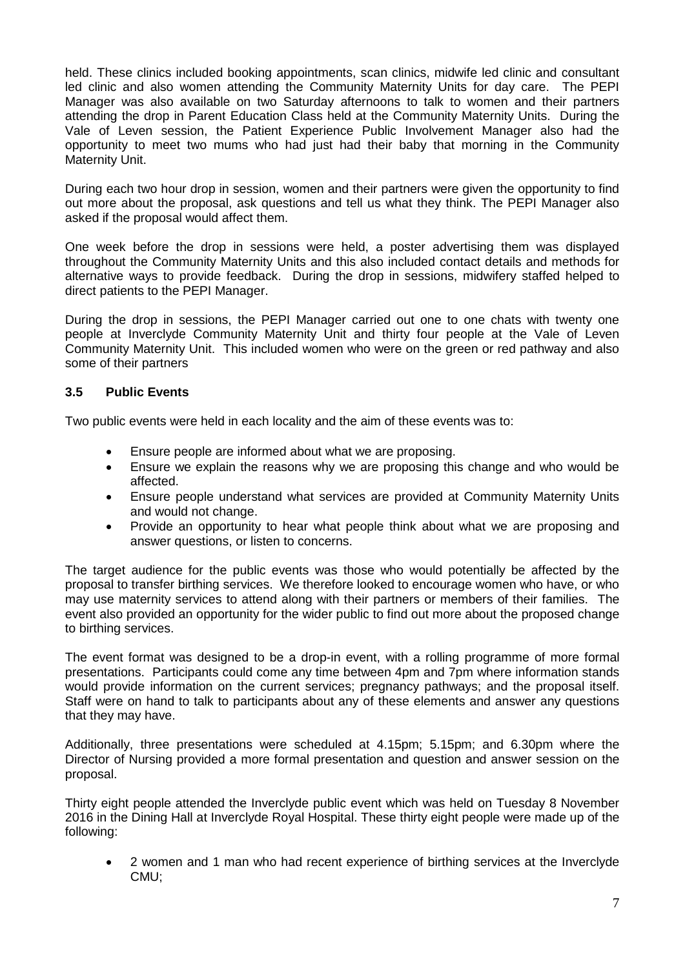held. These clinics included booking appointments, scan clinics, midwife led clinic and consultant led clinic and also women attending the Community Maternity Units for day care. The PEPI Manager was also available on two Saturday afternoons to talk to women and their partners attending the drop in Parent Education Class held at the Community Maternity Units. During the Vale of Leven session, the Patient Experience Public Involvement Manager also had the opportunity to meet two mums who had just had their baby that morning in the Community Maternity Unit.

During each two hour drop in session, women and their partners were given the opportunity to find out more about the proposal, ask questions and tell us what they think. The PEPI Manager also asked if the proposal would affect them.

One week before the drop in sessions were held, a poster advertising them was displayed throughout the Community Maternity Units and this also included contact details and methods for alternative ways to provide feedback. During the drop in sessions, midwifery staffed helped to direct patients to the PEPI Manager.

During the drop in sessions, the PEPI Manager carried out one to one chats with twenty one people at Inverclyde Community Maternity Unit and thirty four people at the Vale of Leven Community Maternity Unit. This included women who were on the green or red pathway and also some of their partners

## **3.5 Public Events**

Two public events were held in each locality and the aim of these events was to:

- Ensure people are informed about what we are proposing.
- Ensure we explain the reasons why we are proposing this change and who would be affected.
- Ensure people understand what services are provided at Community Maternity Units and would not change.
- Provide an opportunity to hear what people think about what we are proposing and answer questions, or listen to concerns.

The target audience for the public events was those who would potentially be affected by the proposal to transfer birthing services. We therefore looked to encourage women who have, or who may use maternity services to attend along with their partners or members of their families. The event also provided an opportunity for the wider public to find out more about the proposed change to birthing services.

The event format was designed to be a drop-in event, with a rolling programme of more formal presentations. Participants could come any time between 4pm and 7pm where information stands would provide information on the current services; pregnancy pathways; and the proposal itself. Staff were on hand to talk to participants about any of these elements and answer any questions that they may have.

Additionally, three presentations were scheduled at 4.15pm; 5.15pm; and 6.30pm where the Director of Nursing provided a more formal presentation and question and answer session on the proposal.

Thirty eight people attended the Inverclyde public event which was held on Tuesday 8 November 2016 in the Dining Hall at Inverclyde Royal Hospital. These thirty eight people were made up of the following:

• 2 women and 1 man who had recent experience of birthing services at the Inverclyde CMU;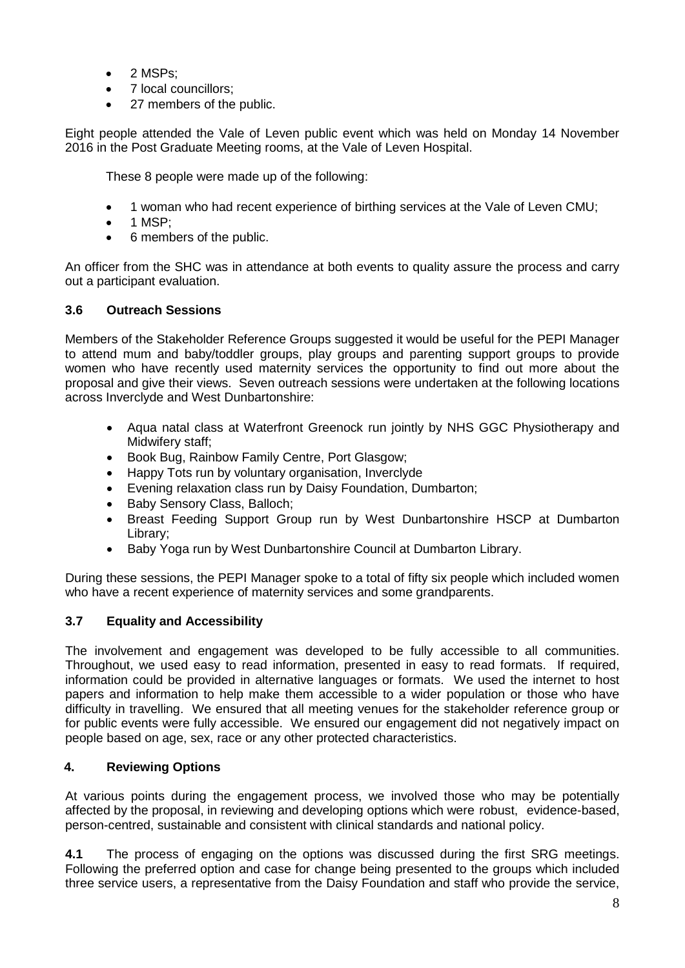- 2 MSPs;
- 7 local councillors;
- 27 members of the public.

Eight people attended the Vale of Leven public event which was held on Monday 14 November 2016 in the Post Graduate Meeting rooms, at the Vale of Leven Hospital.

These 8 people were made up of the following:

- 1 woman who had recent experience of birthing services at the Vale of Leven CMU;
- 1 MSP;
- 6 members of the public.

An officer from the SHC was in attendance at both events to quality assure the process and carry out a participant evaluation.

## **3.6 Outreach Sessions**

Members of the Stakeholder Reference Groups suggested it would be useful for the PEPI Manager to attend mum and baby/toddler groups, play groups and parenting support groups to provide women who have recently used maternity services the opportunity to find out more about the proposal and give their views. Seven outreach sessions were undertaken at the following locations across Inverclyde and West Dunbartonshire:

- Aqua natal class at Waterfront Greenock run jointly by NHS GGC Physiotherapy and Midwifery staff;
- Book Bug, Rainbow Family Centre, Port Glasgow;
- Happy Tots run by voluntary organisation, Inverclyde
- Evening relaxation class run by Daisy Foundation, Dumbarton;
- Baby Sensory Class, Balloch;
- Breast Feeding Support Group run by West Dunbartonshire HSCP at Dumbarton Library;
- Baby Yoga run by West Dunbartonshire Council at Dumbarton Library.

During these sessions, the PEPI Manager spoke to a total of fifty six people which included women who have a recent experience of maternity services and some grandparents.

## **3.7 Equality and Accessibility**

The involvement and engagement was developed to be fully accessible to all communities. Throughout, we used easy to read information, presented in easy to read formats. If required, information could be provided in alternative languages or formats. We used the internet to host papers and information to help make them accessible to a wider population or those who have difficulty in travelling. We ensured that all meeting venues for the stakeholder reference group or for public events were fully accessible. We ensured our engagement did not negatively impact on people based on age, sex, race or any other protected characteristics.

## **4. Reviewing Options**

At various points during the engagement process, we involved those who may be potentially affected by the proposal, in reviewing and developing options which were robust, evidence-based, person-centred, sustainable and consistent with clinical standards and national policy.

**4.1** The process of engaging on the options was discussed during the first SRG meetings. Following the preferred option and case for change being presented to the groups which included three service users, a representative from the Daisy Foundation and staff who provide the service,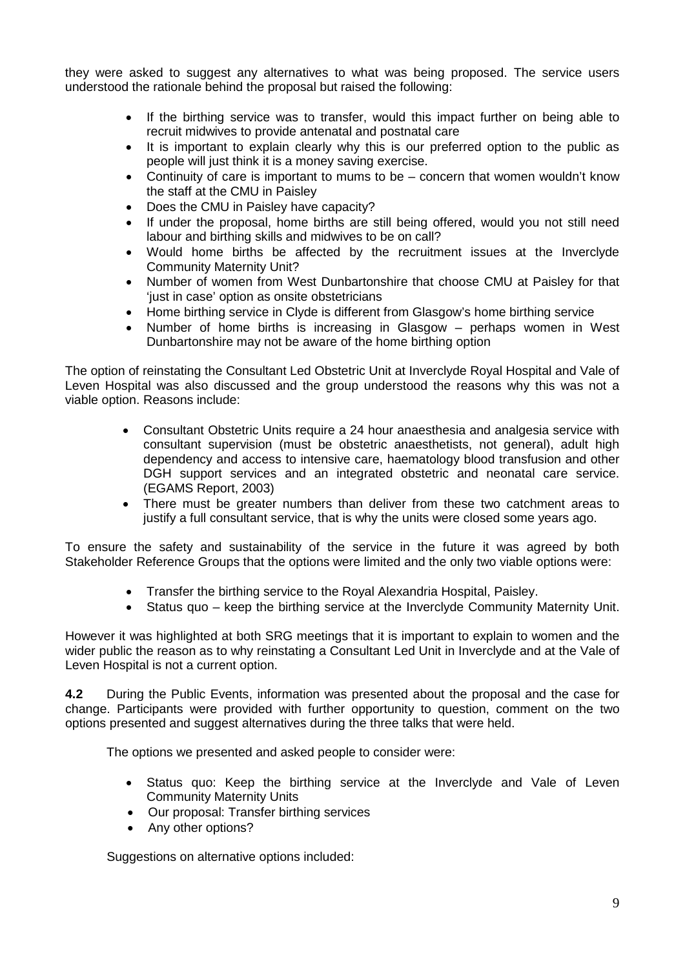they were asked to suggest any alternatives to what was being proposed. The service users understood the rationale behind the proposal but raised the following:

- If the birthing service was to transfer, would this impact further on being able to recruit midwives to provide antenatal and postnatal care
- It is important to explain clearly why this is our preferred option to the public as people will just think it is a money saving exercise.
- Continuity of care is important to mums to be concern that women wouldn't know the staff at the CMU in Paisley
- Does the CMU in Paisley have capacity?
- If under the proposal, home births are still being offered, would you not still need labour and birthing skills and midwives to be on call?
- Would home births be affected by the recruitment issues at the Inverclyde Community Maternity Unit?
- Number of women from West Dunbartonshire that choose CMU at Paisley for that 'just in case' option as onsite obstetricians
- Home birthing service in Clyde is different from Glasgow's home birthing service
- Number of home births is increasing in Glasgow perhaps women in West Dunbartonshire may not be aware of the home birthing option

The option of reinstating the Consultant Led Obstetric Unit at Inverclyde Royal Hospital and Vale of Leven Hospital was also discussed and the group understood the reasons why this was not a viable option. Reasons include:

- Consultant Obstetric Units require a 24 hour anaesthesia and analgesia service with consultant supervision (must be obstetric anaesthetists, not general), adult high dependency and access to intensive care, haematology blood transfusion and other DGH support services and an integrated obstetric and neonatal care service. (EGAMS Report, 2003)
- There must be greater numbers than deliver from these two catchment areas to justify a full consultant service, that is why the units were closed some years ago.

To ensure the safety and sustainability of the service in the future it was agreed by both Stakeholder Reference Groups that the options were limited and the only two viable options were:

- Transfer the birthing service to the Royal Alexandria Hospital, Paisley.
- Status quo keep the birthing service at the Inverclyde Community Maternity Unit.

However it was highlighted at both SRG meetings that it is important to explain to women and the wider public the reason as to why reinstating a Consultant Led Unit in Inverclyde and at the Vale of Leven Hospital is not a current option.

**4.2** During the Public Events, information was presented about the proposal and the case for change. Participants were provided with further opportunity to question, comment on the two options presented and suggest alternatives during the three talks that were held.

The options we presented and asked people to consider were:

- Status quo: Keep the birthing service at the Inverclyde and Vale of Leven Community Maternity Units
- Our proposal: Transfer birthing services
- Any other options?

Suggestions on alternative options included: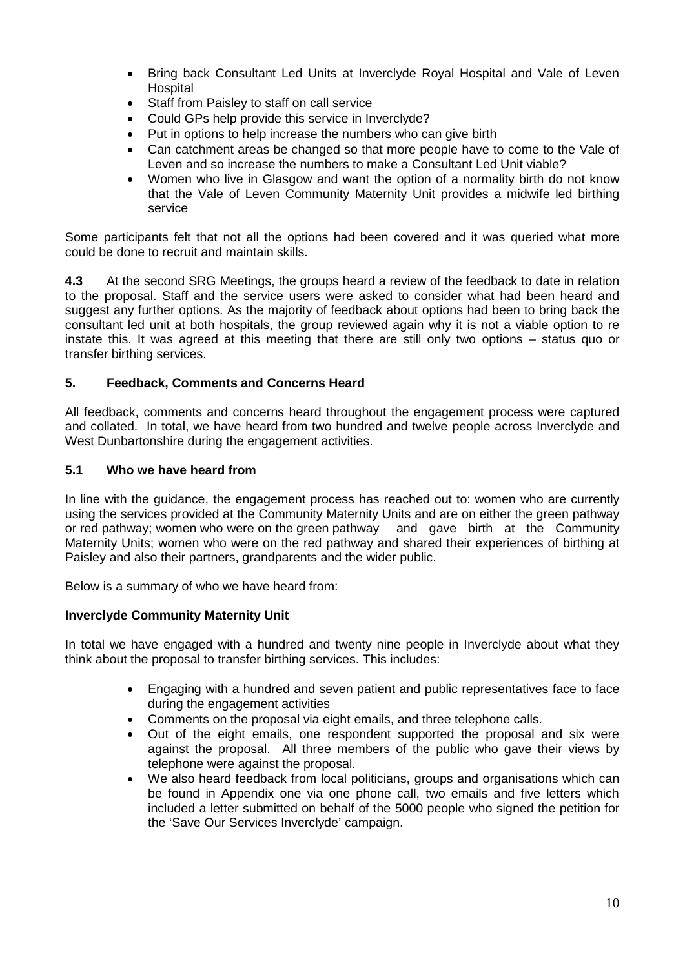- Bring back Consultant Led Units at Inverclyde Royal Hospital and Vale of Leven Hospital
- Staff from Paisley to staff on call service
- Could GPs help provide this service in Inverclyde?
- Put in options to help increase the numbers who can give birth
- Can catchment areas be changed so that more people have to come to the Vale of Leven and so increase the numbers to make a Consultant Led Unit viable?
- Women who live in Glasgow and want the option of a normality birth do not know that the Vale of Leven Community Maternity Unit provides a midwife led birthing service

Some participants felt that not all the options had been covered and it was queried what more could be done to recruit and maintain skills.

**4.3** At the second SRG Meetings, the groups heard a review of the feedback to date in relation to the proposal. Staff and the service users were asked to consider what had been heard and suggest any further options. As the majority of feedback about options had been to bring back the consultant led unit at both hospitals, the group reviewed again why it is not a viable option to re instate this. It was agreed at this meeting that there are still only two options – status quo or transfer birthing services.

## **5. Feedback, Comments and Concerns Heard**

All feedback, comments and concerns heard throughout the engagement process were captured and collated. In total, we have heard from two hundred and twelve people across Inverclyde and West Dunbartonshire during the engagement activities.

## **5.1 Who we have heard from**

In line with the guidance, the engagement process has reached out to: women who are currently using the services provided at the Community Maternity Units and are on either the green pathway or red pathway; women who were on the green pathway and gave birth at the Community Maternity Units; women who were on the red pathway and shared their experiences of birthing at Paisley and also their partners, grandparents and the wider public.

Below is a summary of who we have heard from:

## **Inverclyde Community Maternity Unit**

In total we have engaged with a hundred and twenty nine people in Inverclyde about what they think about the proposal to transfer birthing services. This includes:

- Engaging with a hundred and seven patient and public representatives face to face during the engagement activities
- Comments on the proposal via eight emails, and three telephone calls.
- Out of the eight emails, one respondent supported the proposal and six were against the proposal. All three members of the public who gave their views by telephone were against the proposal.
- We also heard feedback from local politicians, groups and organisations which can be found in Appendix one via one phone call, two emails and five letters which included a letter submitted on behalf of the 5000 people who signed the petition for the 'Save Our Services Inverclyde' campaign.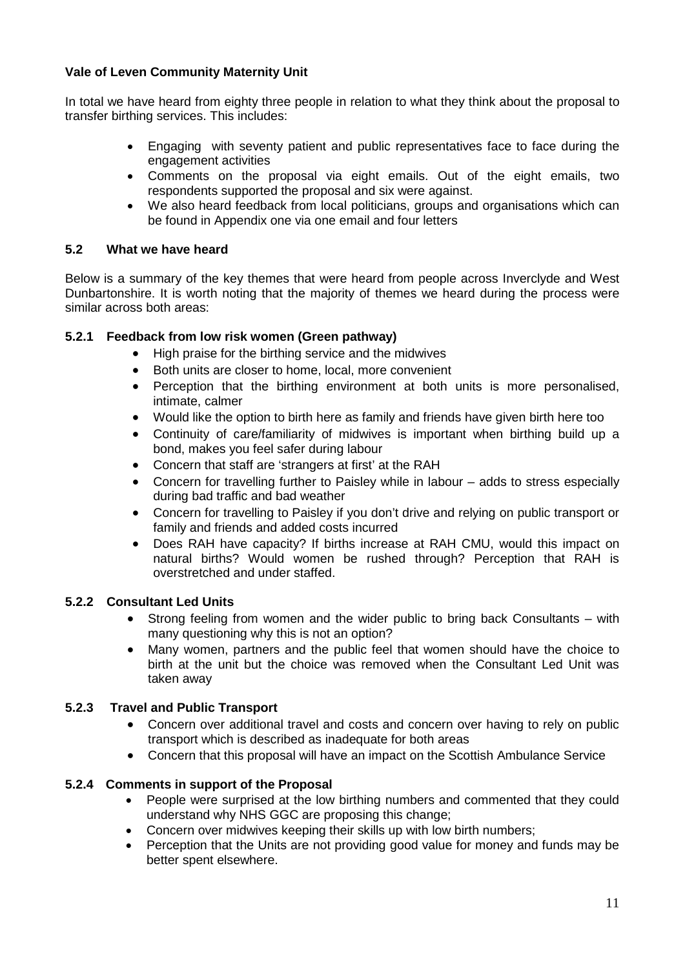## **Vale of Leven Community Maternity Unit**

In total we have heard from eighty three people in relation to what they think about the proposal to transfer birthing services. This includes:

- Engaging with seventy patient and public representatives face to face during the engagement activities
- Comments on the proposal via eight emails. Out of the eight emails, two respondents supported the proposal and six were against.
- We also heard feedback from local politicians, groups and organisations which can be found in Appendix one via one email and four letters

### **5.2 What we have heard**

Below is a summary of the key themes that were heard from people across Inverclyde and West Dunbartonshire. It is worth noting that the majority of themes we heard during the process were similar across both areas:

## **5.2.1 Feedback from low risk women (Green pathway)**

- High praise for the birthing service and the midwives
- Both units are closer to home, local, more convenient
- Perception that the birthing environment at both units is more personalised, intimate, calmer
- Would like the option to birth here as family and friends have given birth here too
- Continuity of care/familiarity of midwives is important when birthing build up a bond, makes you feel safer during labour
- Concern that staff are 'strangers at first' at the RAH
- Concern for travelling further to Paisley while in labour adds to stress especially during bad traffic and bad weather
- Concern for travelling to Paisley if you don't drive and relying on public transport or family and friends and added costs incurred
- Does RAH have capacity? If births increase at RAH CMU, would this impact on natural births? Would women be rushed through? Perception that RAH is overstretched and under staffed.

### **5.2.2 Consultant Led Units**

- Strong feeling from women and the wider public to bring back Consultants with many questioning why this is not an option?
- Many women, partners and the public feel that women should have the choice to birth at the unit but the choice was removed when the Consultant Led Unit was taken away

### **5.2.3 Travel and Public Transport**

- Concern over additional travel and costs and concern over having to rely on public transport which is described as inadequate for both areas
- Concern that this proposal will have an impact on the Scottish Ambulance Service

### **5.2.4 Comments in support of the Proposal**

- People were surprised at the low birthing numbers and commented that they could understand why NHS GGC are proposing this change;
- Concern over midwives keeping their skills up with low birth numbers;
- Perception that the Units are not providing good value for money and funds may be better spent elsewhere.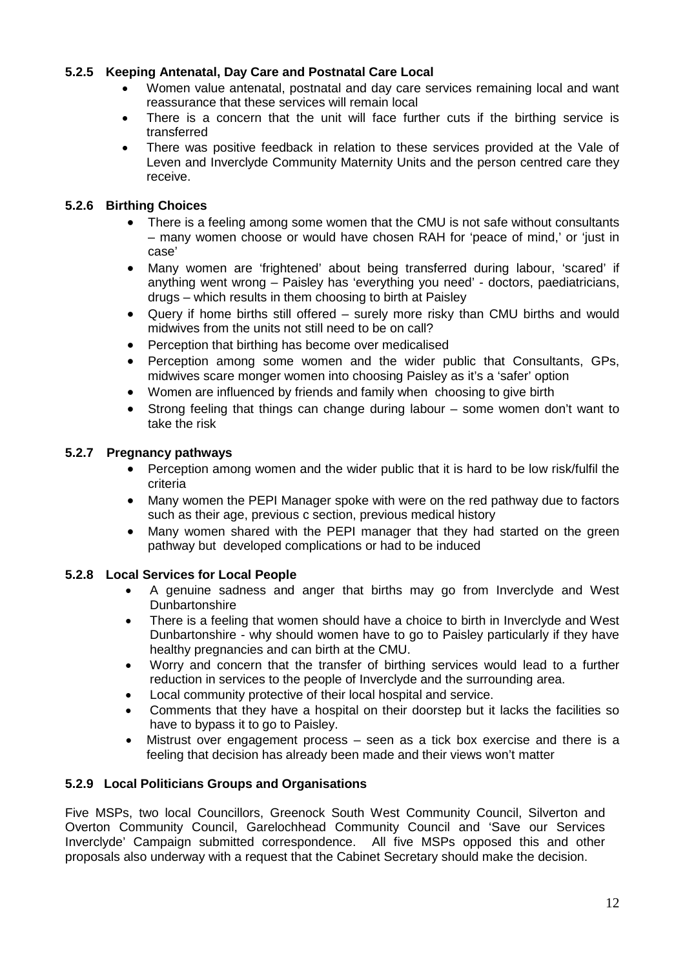## **5.2.5 Keeping Antenatal, Day Care and Postnatal Care Local**

- Women value antenatal, postnatal and day care services remaining local and want reassurance that these services will remain local
- There is a concern that the unit will face further cuts if the birthing service is transferred
- There was positive feedback in relation to these services provided at the Vale of Leven and Inverclyde Community Maternity Units and the person centred care they receive.

### **5.2.6 Birthing Choices**

- There is a feeling among some women that the CMU is not safe without consultants – many women choose or would have chosen RAH for 'peace of mind,' or 'just in case'
- Many women are 'frightened' about being transferred during labour, 'scared' if anything went wrong – Paisley has 'everything you need' - doctors, paediatricians, drugs – which results in them choosing to birth at Paisley
- Query if home births still offered surely more risky than CMU births and would midwives from the units not still need to be on call?
- Perception that birthing has become over medicalised
- Perception among some women and the wider public that Consultants, GPs, midwives scare monger women into choosing Paisley as it's a 'safer' option
- Women are influenced by friends and family when choosing to give birth
- Strong feeling that things can change during labour some women don't want to take the risk

### **5.2.7 Pregnancy pathways**

- Perception among women and the wider public that it is hard to be low risk/fulfil the criteria
- Many women the PEPI Manager spoke with were on the red pathway due to factors such as their age, previous c section, previous medical history
- Many women shared with the PEPI manager that they had started on the green pathway but developed complications or had to be induced

## **5.2.8 Local Services for Local People**

- A genuine sadness and anger that births may go from Inverclyde and West **Dunbartonshire**
- There is a feeling that women should have a choice to birth in Inverclyde and West Dunbartonshire - why should women have to go to Paisley particularly if they have healthy pregnancies and can birth at the CMU.
- Worry and concern that the transfer of birthing services would lead to a further reduction in services to the people of Inverclyde and the surrounding area.
- Local community protective of their local hospital and service.
- Comments that they have a hospital on their doorstep but it lacks the facilities so have to bypass it to go to Paisley.
- Mistrust over engagement process seen as a tick box exercise and there is a feeling that decision has already been made and their views won't matter

### **5.2.9 Local Politicians Groups and Organisations**

Five MSPs, two local Councillors, Greenock South West Community Council, Silverton and Overton Community Council, Garelochhead Community Council and 'Save our Services Inverclyde' Campaign submitted correspondence. All five MSPs opposed this and other proposals also underway with a request that the Cabinet Secretary should make the decision.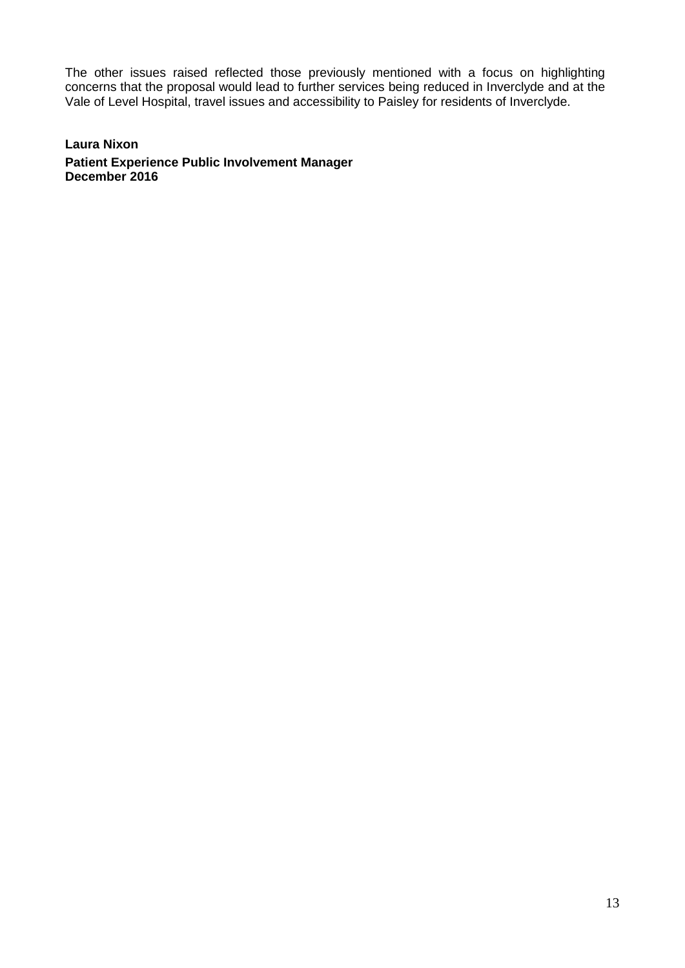The other issues raised reflected those previously mentioned with a focus on highlighting concerns that the proposal would lead to further services being reduced in Inverclyde and at the Vale of Level Hospital, travel issues and accessibility to Paisley for residents of Inverclyde.

**Laura Nixon Patient Experience Public Involvement Manager December 2016**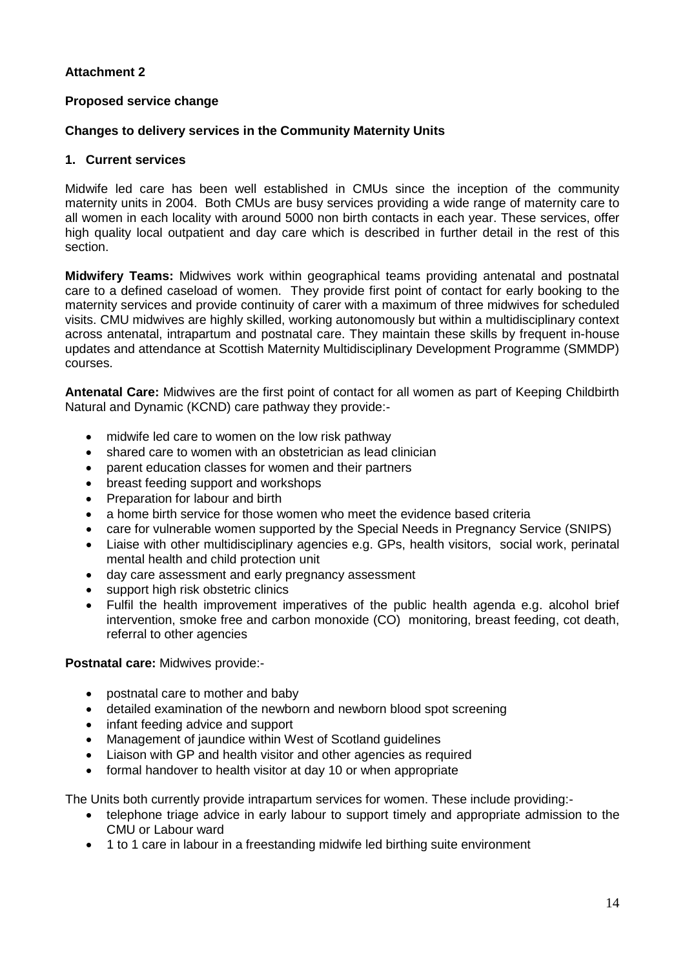## **Attachment 2**

### **Proposed service change**

#### **Changes to delivery services in the Community Maternity Units**

### **1. Current services**

Midwife led care has been well established in CMUs since the inception of the community maternity units in 2004. Both CMUs are busy services providing a wide range of maternity care to all women in each locality with around 5000 non birth contacts in each year. These services, offer high quality local outpatient and day care which is described in further detail in the rest of this section.

**Midwifery Teams:** Midwives work within geographical teams providing antenatal and postnatal care to a defined caseload of women. They provide first point of contact for early booking to the maternity services and provide continuity of carer with a maximum of three midwives for scheduled visits. CMU midwives are highly skilled, working autonomously but within a multidisciplinary context across antenatal, intrapartum and postnatal care. They maintain these skills by frequent in-house updates and attendance at Scottish Maternity Multidisciplinary Development Programme (SMMDP) courses.

**Antenatal Care:** Midwives are the first point of contact for all women as part of Keeping Childbirth Natural and Dynamic (KCND) care pathway they provide:-

- midwife led care to women on the low risk pathway
- shared care to women with an obstetrician as lead clinician
- parent education classes for women and their partners
- breast feeding support and workshops
- Preparation for labour and birth
- a home birth service for those women who meet the evidence based criteria
- care for vulnerable women supported by the Special Needs in Pregnancy Service (SNIPS)
- Liaise with other multidisciplinary agencies e.g. GPs, health visitors, social work, perinatal mental health and child protection unit
- day care assessment and early pregnancy assessment
- support high risk obstetric clinics
- Fulfil the health improvement imperatives of the public health agenda e.g. alcohol brief intervention, smoke free and carbon monoxide (CO) monitoring, breast feeding, cot death, referral to other agencies

#### **Postnatal care:** Midwives provide:-

- postnatal care to mother and baby
- detailed examination of the newborn and newborn blood spot screening
- infant feeding advice and support
- Management of jaundice within West of Scotland guidelines
- Liaison with GP and health visitor and other agencies as required
- formal handover to health visitor at day 10 or when appropriate

The Units both currently provide intrapartum services for women. These include providing:-

- telephone triage advice in early labour to support timely and appropriate admission to the CMU or Labour ward
- 1 to 1 care in labour in a freestanding midwife led birthing suite environment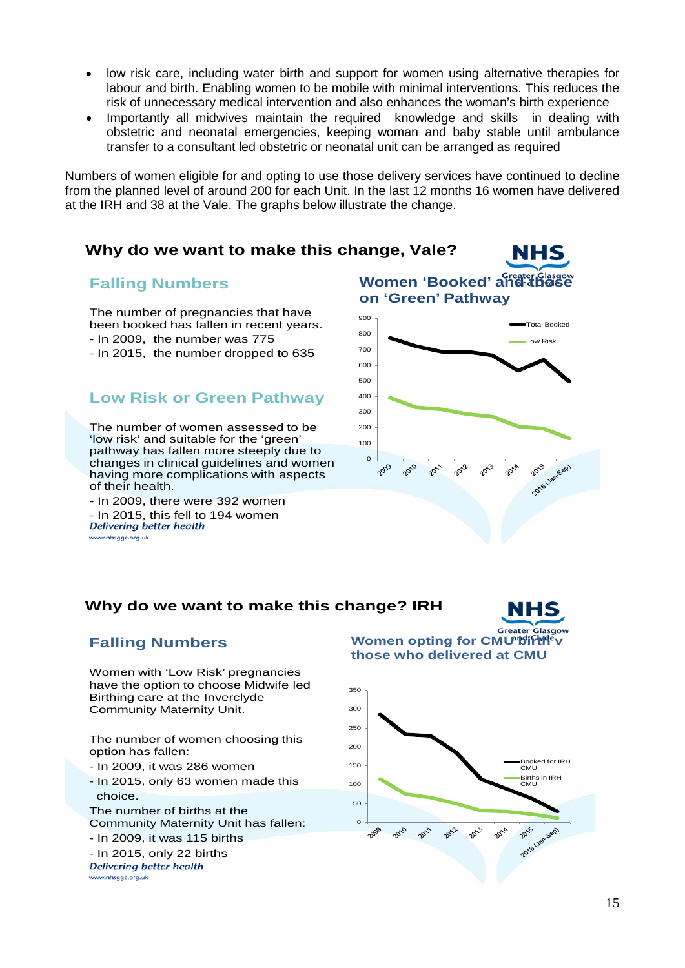- low risk care, including water birth and support for women using alternative therapies for labour and birth. Enabling women to be mobile with minimal interventions. This reduces the risk of unnecessary medical intervention and also enhances the woman's birth experience
- Importantly all midwives maintain the required knowledge and skills in dealing with obstetric and neonatal emergencies, keeping woman and baby stable until ambulance transfer to a consultant led obstetric or neonatal unit can be arranged as required

Numbers of women eligible for and opting to use those delivery services have continued to decline from the planned level of around 200 for each Unit. In the last 12 months 16 women have delivered at the IRH and 38 at the Vale. The graphs below illustrate the change.

## **Why do we want to make this change, Vale?**

### **Falling Numbers**

The number of pregnancies that have been booked has fallen in recent years. - In 2009, the number was 775 - In 2015, the number dropped to 635

## **Low Risk or Green Pathway**

The number of women assessed to be 'low risk' and suitable for the 'green' pathway has fallen more steeply due to changes in clinical guidelines and women having more complications with aspects of their health.

- In 2009, there were 392 women - In 2015, this fell to 194 women<br>*Delivering better health* www.nhsggc.org.uk



NHS

NHS

### **Why do we want to make this change? IRH**



Women with 'Low Risk' pregnancies have the option to choose Midwife led Birthing care at the Inverclyde Community Maternity Unit.

The number of women choosing this option has fallen:

- In 2009, it was 286 women
- In 2015, only 63 women made this choice.

The number of births at the Community Maternity Unit has fallen:

- In 2009, it was 115 births

- In 2015, only 22 births<br>Delivering better health www.nhsggc.org.uk

**Greater Glasgow Women opting for CMU Birth v those who delivered at CMU**

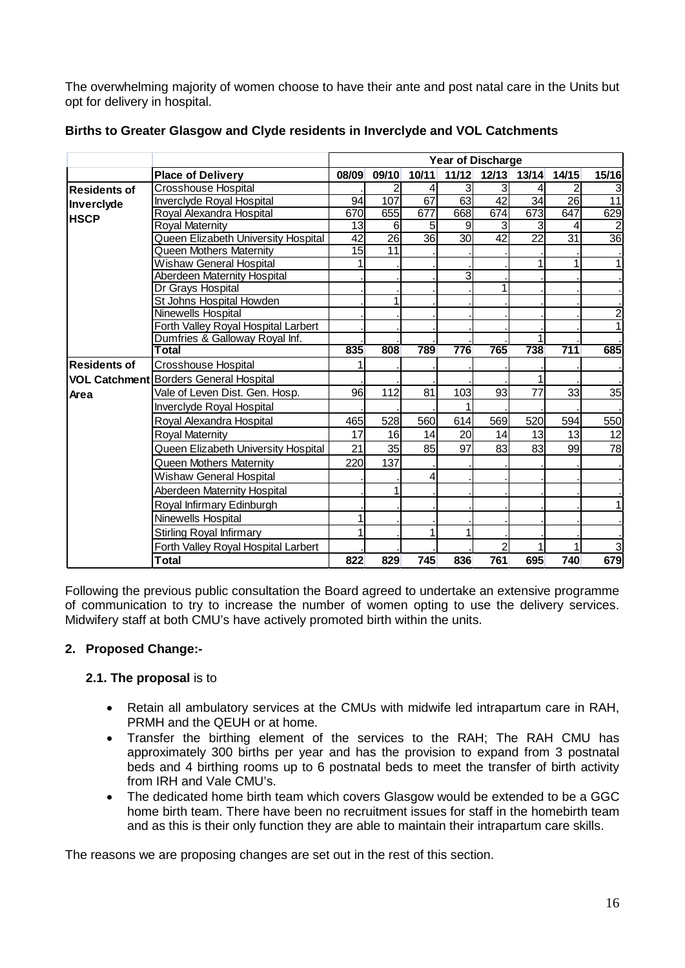The overwhelming majority of women choose to have their ante and post natal care in the Units but opt for delivery in hospital.

|                     |                                        | Year of Discharge |                 |                 |                 |                 |                 |                  |                 |
|---------------------|----------------------------------------|-------------------|-----------------|-----------------|-----------------|-----------------|-----------------|------------------|-----------------|
|                     | <b>Place of Delivery</b>               | 08/09             | 09/10           | 10/11           | 11/12           | $12/13$         | 13/14           | 14/15            | 15/16           |
| <b>Residents of</b> | <b>Crosshouse Hospital</b>             |                   | 2               | 4               | 3               | $\overline{3}$  | 4               | 2                | 3               |
| Inverclyde          | <b>Inverciyde Royal Hospital</b>       | 94                | 107             | 67              | 63              | 42              | 34              | 26               | $\overline{11}$ |
| <b>HSCP</b>         | Royal Alexandra Hospital               | 670               | 655             | 677             | 668             | 674             | 673             | 647              | 629             |
|                     | <b>Royal Maternity</b>                 | 13                | 6               | 5               | 9               | 3               | 3               | 4                | $\overline{2}$  |
|                     | Queen Elizabeth University Hospital    | $\overline{42}$   | $\overline{26}$ | $\overline{36}$ | $\overline{30}$ | $\overline{42}$ | $\overline{22}$ | $\overline{31}$  | $\overline{36}$ |
|                     | Queen Mothers Maternity                | $\overline{15}$   | 11              |                 |                 |                 |                 |                  |                 |
|                     | <b>Wishaw General Hospital</b>         |                   |                 |                 |                 |                 | 1               |                  |                 |
|                     | Aberdeen Maternity Hospital            |                   |                 |                 | 3               |                 |                 |                  |                 |
|                     | Dr Grays Hospital                      |                   |                 |                 |                 |                 |                 |                  |                 |
|                     | St Johns Hospital Howden               |                   | 1               |                 |                 |                 |                 |                  |                 |
|                     | Ninewells Hospital                     |                   |                 |                 |                 |                 |                 |                  | $\bar{2}$       |
|                     | Forth Valley Royal Hospital Larbert    |                   |                 |                 |                 |                 |                 |                  |                 |
|                     | Dumfries & Galloway Royal Inf.         |                   |                 |                 |                 |                 |                 |                  |                 |
|                     | Total                                  | 835               | 808             | 789             | 776             | 765             | 738             | $\overline{711}$ | 685             |
| <b>Residents of</b> | Crosshouse Hospital                    |                   |                 |                 |                 |                 |                 |                  |                 |
|                     | VOL Catchment Borders General Hospital |                   |                 |                 |                 |                 |                 |                  |                 |
| Area                | Vale of Leven Dist. Gen. Hosp.         | 96                | 112             | 81              | 103             | 93              | 77              | 33               | 35              |
|                     | Inverclyde Royal Hospital              |                   |                 |                 |                 |                 |                 |                  |                 |
|                     | Royal Alexandra Hospital               | 465               | 528             | 560             | 614             | 569             | 520             | 594              | 550             |
|                     | <b>Royal Maternity</b>                 | 17                | 16              | 14              | 20              | 14              | 13              | 13               | 12              |
|                     | Queen Elizabeth University Hospital    | 21                | 35              | 85              | 97              | 83              | 83              | 99               | 78              |
|                     | Queen Mothers Maternity                | 220               | 137             |                 |                 |                 |                 |                  |                 |
|                     | <b>Wishaw General Hospital</b>         |                   |                 | 4               |                 |                 |                 |                  |                 |
|                     | Aberdeen Maternity Hospital            |                   | 1               |                 |                 |                 |                 |                  |                 |
|                     | Royal Infirmary Edinburgh              |                   |                 |                 |                 |                 |                 |                  |                 |
|                     | Ninewells Hospital                     |                   |                 |                 |                 |                 |                 |                  |                 |
|                     | <b>Stirling Royal Infirmary</b>        |                   |                 |                 |                 |                 |                 |                  |                 |
|                     | Forth Valley Royal Hospital Larbert    |                   |                 |                 |                 | 2               | 1               |                  | 3               |
|                     | Total                                  | 822               | 829             | 745             | 836             | 761             | 695             | 740              | 679             |

### **Births to Greater Glasgow and Clyde residents in Inverclyde and VOL Catchments**

Following the previous public consultation the Board agreed to undertake an extensive programme of communication to try to increase the number of women opting to use the delivery services. Midwifery staff at both CMU's have actively promoted birth within the units.

## **2. Proposed Change:-**

## **2.1. The proposal** is to

- Retain all ambulatory services at the CMUs with midwife led intrapartum care in RAH, PRMH and the QEUH or at home.
- Transfer the birthing element of the services to the RAH; The RAH CMU has approximately 300 births per year and has the provision to expand from 3 postnatal beds and 4 birthing rooms up to 6 postnatal beds to meet the transfer of birth activity from IRH and Vale CMU's.
- The dedicated home birth team which covers Glasgow would be extended to be a GGC home birth team. There have been no recruitment issues for staff in the homebirth team and as this is their only function they are able to maintain their intrapartum care skills.

The reasons we are proposing changes are set out in the rest of this section.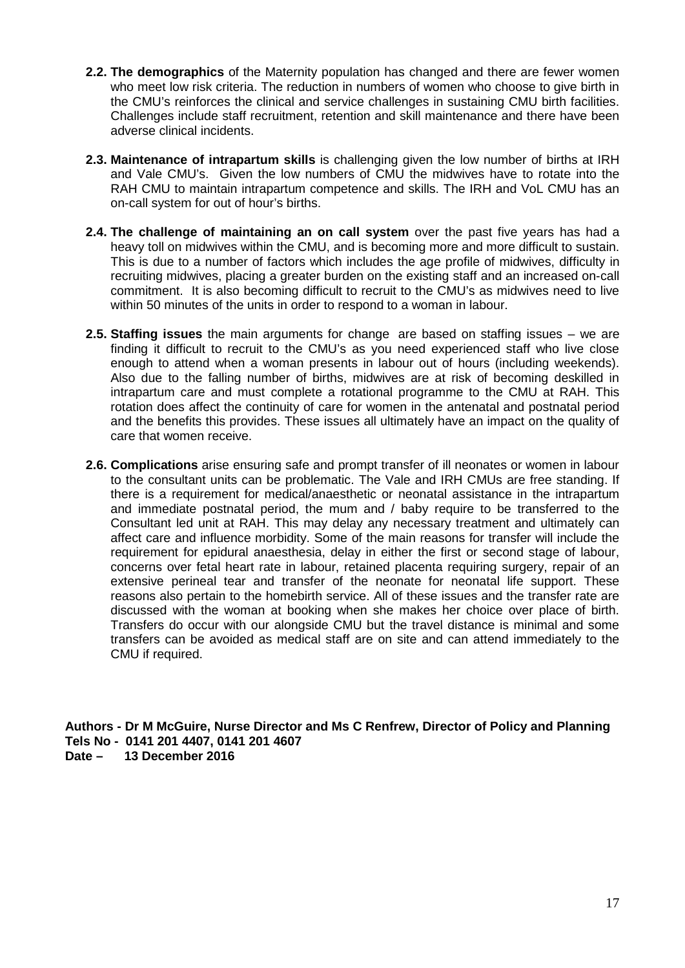- **2.2. The demographics** of the Maternity population has changed and there are fewer women who meet low risk criteria. The reduction in numbers of women who choose to give birth in the CMU's reinforces the clinical and service challenges in sustaining CMU birth facilities. Challenges include staff recruitment, retention and skill maintenance and there have been adverse clinical incidents.
- **2.3. Maintenance of intrapartum skills** is challenging given the low number of births at IRH and Vale CMU's. Given the low numbers of CMU the midwives have to rotate into the RAH CMU to maintain intrapartum competence and skills. The IRH and VoL CMU has an on-call system for out of hour's births.
- **2.4. The challenge of maintaining an on call system** over the past five years has had a heavy toll on midwives within the CMU, and is becoming more and more difficult to sustain. This is due to a number of factors which includes the age profile of midwives, difficulty in recruiting midwives, placing a greater burden on the existing staff and an increased on-call commitment. It is also becoming difficult to recruit to the CMU's as midwives need to live within 50 minutes of the units in order to respond to a woman in labour.
- **2.5. Staffing issues** the main arguments for change are based on staffing issues we are finding it difficult to recruit to the CMU's as you need experienced staff who live close enough to attend when a woman presents in labour out of hours (including weekends). Also due to the falling number of births, midwives are at risk of becoming deskilled in intrapartum care and must complete a rotational programme to the CMU at RAH. This rotation does affect the continuity of care for women in the antenatal and postnatal period and the benefits this provides. These issues all ultimately have an impact on the quality of care that women receive.
- **2.6. Complications** arise ensuring safe and prompt transfer of ill neonates or women in labour to the consultant units can be problematic. The Vale and IRH CMUs are free standing. If there is a requirement for medical/anaesthetic or neonatal assistance in the intrapartum and immediate postnatal period, the mum and / baby require to be transferred to the Consultant led unit at RAH. This may delay any necessary treatment and ultimately can affect care and influence morbidity. Some of the main reasons for transfer will include the requirement for epidural anaesthesia, delay in either the first or second stage of labour, concerns over fetal heart rate in labour, retained placenta requiring surgery, repair of an extensive perineal tear and transfer of the neonate for neonatal life support. These reasons also pertain to the homebirth service. All of these issues and the transfer rate are discussed with the woman at booking when she makes her choice over place of birth. Transfers do occur with our alongside CMU but the travel distance is minimal and some transfers can be avoided as medical staff are on site and can attend immediately to the CMU if required.

**Authors - Dr M McGuire, Nurse Director and Ms C Renfrew, Director of Policy and Planning Tels No - 0141 201 4407, 0141 201 4607**

**Date – 13 December 2016**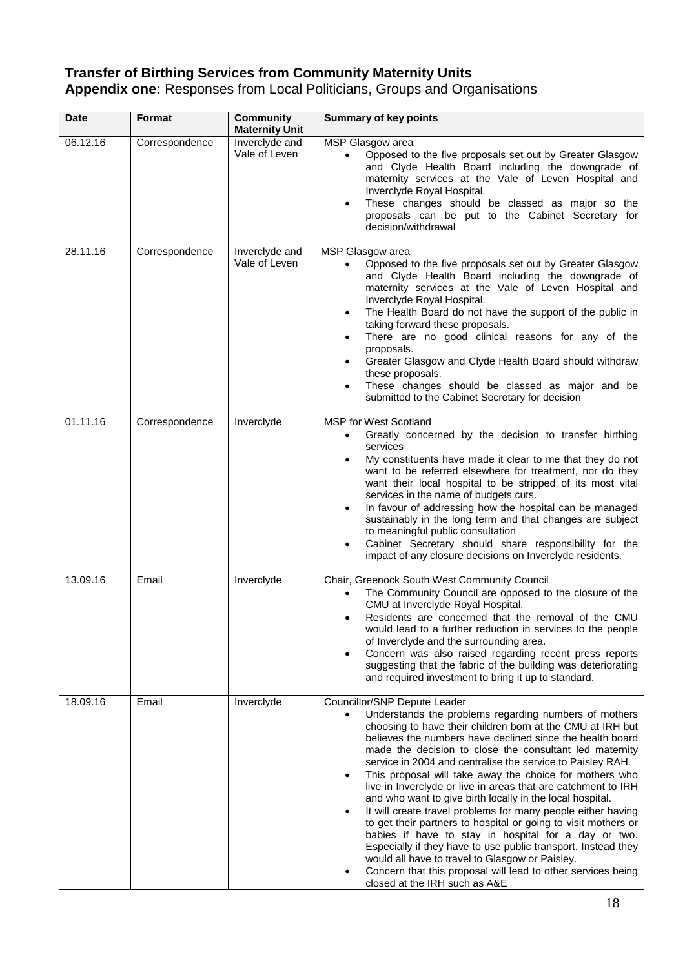# **Transfer of Birthing Services from Community Maternity Units**

**Appendix one:** Responses from Local Politicians, Groups and Organisations

| <b>Date</b> | Format         | <b>Community</b><br><b>Maternity Unit</b> | <b>Summary of key points</b>                                                                                                                                                                                                                                                                                                                                                                                                                                                                                                                                                                                                                                                                                                                                                                                                                                                                                                                                   |
|-------------|----------------|-------------------------------------------|----------------------------------------------------------------------------------------------------------------------------------------------------------------------------------------------------------------------------------------------------------------------------------------------------------------------------------------------------------------------------------------------------------------------------------------------------------------------------------------------------------------------------------------------------------------------------------------------------------------------------------------------------------------------------------------------------------------------------------------------------------------------------------------------------------------------------------------------------------------------------------------------------------------------------------------------------------------|
| 06.12.16    | Correspondence | Inverclyde and<br>Vale of Leven           | MSP Glasgow area<br>Opposed to the five proposals set out by Greater Glasgow<br>and Clyde Health Board including the downgrade of<br>maternity services at the Vale of Leven Hospital and<br>Inverclyde Royal Hospital.<br>These changes should be classed as major so the<br>proposals can be put to the Cabinet Secretary for<br>decision/withdrawal                                                                                                                                                                                                                                                                                                                                                                                                                                                                                                                                                                                                         |
| 28.11.16    | Correspondence | Inverclyde and<br>Vale of Leven           | MSP Glasgow area<br>Opposed to the five proposals set out by Greater Glasgow<br>and Clyde Health Board including the downgrade of<br>maternity services at the Vale of Leven Hospital and<br>Inverclyde Royal Hospital.<br>The Health Board do not have the support of the public in<br>taking forward these proposals.<br>There are no good clinical reasons for any of the<br>proposals.<br>Greater Glasgow and Clyde Health Board should withdraw<br>these proposals.<br>These changes should be classed as major and be<br>submitted to the Cabinet Secretary for decision                                                                                                                                                                                                                                                                                                                                                                                 |
| 01.11.16    | Correspondence | Inverclyde                                | <b>MSP for West Scotland</b><br>Greatly concerned by the decision to transfer birthing<br>services<br>My constituents have made it clear to me that they do not<br>want to be referred elsewhere for treatment, nor do they<br>want their local hospital to be stripped of its most vital<br>services in the name of budgets cuts.<br>In favour of addressing how the hospital can be managed<br>sustainably in the long term and that changes are subject<br>to meaningful public consultation<br>Cabinet Secretary should share responsibility for the<br>impact of any closure decisions on Inverclyde residents.                                                                                                                                                                                                                                                                                                                                           |
| 13.09.16    | Email          | Inverclyde                                | Chair, Greenock South West Community Council<br>The Community Council are opposed to the closure of the<br>$\bullet$<br>CMU at Inverclyde Royal Hospital.<br>Residents are concerned that the removal of the CMU<br>٠<br>would lead to a further reduction in services to the people<br>of Inverclyde and the surrounding area.<br>Concern was also raised regarding recent press reports<br>suggesting that the fabric of the building was deteriorating<br>and required investment to bring it up to standard.                                                                                                                                                                                                                                                                                                                                                                                                                                               |
| 18.09.16    | Email          | Inverclyde                                | Councillor/SNP Depute Leader<br>Understands the problems regarding numbers of mothers<br>$\bullet$<br>choosing to have their children born at the CMU at IRH but<br>believes the numbers have declined since the health board<br>made the decision to close the consultant led maternity<br>service in 2004 and centralise the service to Paisley RAH.<br>This proposal will take away the choice for mothers who<br>live in Inverclyde or live in areas that are catchment to IRH<br>and who want to give birth locally in the local hospital.<br>It will create travel problems for many people either having<br>to get their partners to hospital or going to visit mothers or<br>babies if have to stay in hospital for a day or two.<br>Especially if they have to use public transport. Instead they<br>would all have to travel to Glasgow or Paisley.<br>Concern that this proposal will lead to other services being<br>closed at the IRH such as A&E |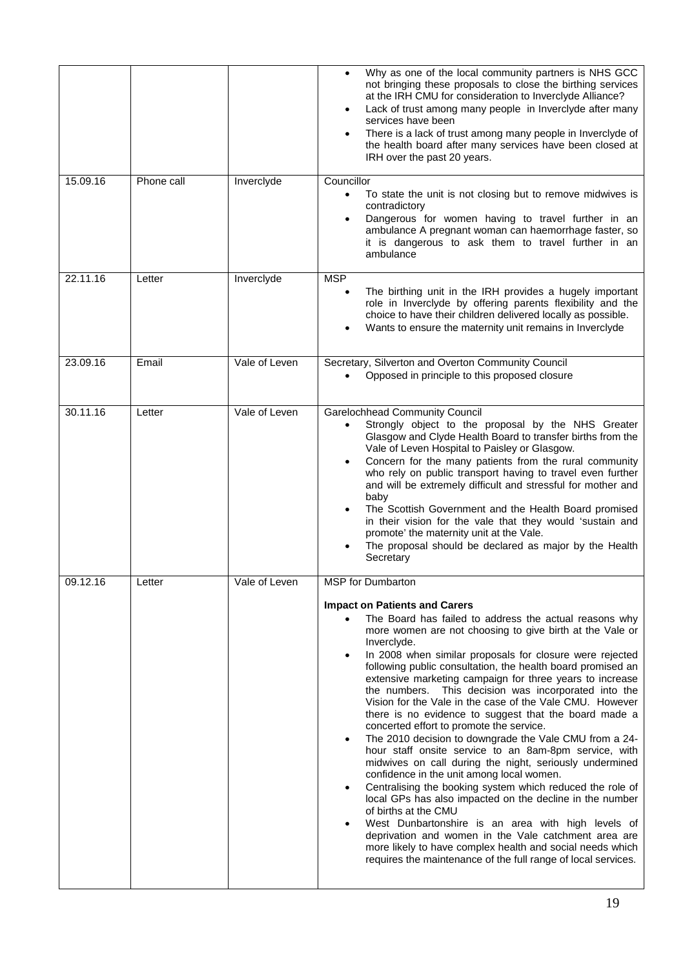|          |            |               | Why as one of the local community partners is NHS GCC<br>not bringing these proposals to close the birthing services<br>at the IRH CMU for consideration to Inverclyde Alliance?<br>Lack of trust among many people in Inverclyde after many<br>services have been<br>There is a lack of trust among many people in Inverclyde of<br>the health board after many services have been closed at<br>IRH over the past 20 years.                                                                                                                                                                                                                                                                                                                                                                                                                                                                                                                                                                                                                                                                                                                                                                                                                                               |
|----------|------------|---------------|----------------------------------------------------------------------------------------------------------------------------------------------------------------------------------------------------------------------------------------------------------------------------------------------------------------------------------------------------------------------------------------------------------------------------------------------------------------------------------------------------------------------------------------------------------------------------------------------------------------------------------------------------------------------------------------------------------------------------------------------------------------------------------------------------------------------------------------------------------------------------------------------------------------------------------------------------------------------------------------------------------------------------------------------------------------------------------------------------------------------------------------------------------------------------------------------------------------------------------------------------------------------------|
| 15.09.16 | Phone call | Inverclyde    | Councillor<br>To state the unit is not closing but to remove midwives is<br>$\bullet$<br>contradictory<br>Dangerous for women having to travel further in an<br>ambulance A pregnant woman can haemorrhage faster, so<br>it is dangerous to ask them to travel further in an<br>ambulance                                                                                                                                                                                                                                                                                                                                                                                                                                                                                                                                                                                                                                                                                                                                                                                                                                                                                                                                                                                  |
| 22.11.16 | Letter     | Inverclyde    | <b>MSP</b><br>The birthing unit in the IRH provides a hugely important<br>role in Inverclyde by offering parents flexibility and the<br>choice to have their children delivered locally as possible.<br>Wants to ensure the maternity unit remains in Inverclyde                                                                                                                                                                                                                                                                                                                                                                                                                                                                                                                                                                                                                                                                                                                                                                                                                                                                                                                                                                                                           |
| 23.09.16 | Email      | Vale of Leven | Secretary, Silverton and Overton Community Council<br>Opposed in principle to this proposed closure                                                                                                                                                                                                                                                                                                                                                                                                                                                                                                                                                                                                                                                                                                                                                                                                                                                                                                                                                                                                                                                                                                                                                                        |
| 30.11.16 | Letter     | Vale of Leven | <b>Garelochhead Community Council</b><br>Strongly object to the proposal by the NHS Greater<br>Glasgow and Clyde Health Board to transfer births from the<br>Vale of Leven Hospital to Paisley or Glasgow.<br>Concern for the many patients from the rural community<br>who rely on public transport having to travel even further<br>and will be extremely difficult and stressful for mother and<br>baby<br>The Scottish Government and the Health Board promised<br>in their vision for the vale that they would 'sustain and<br>promote' the maternity unit at the Vale.<br>The proposal should be declared as major by the Health<br>Secretary                                                                                                                                                                                                                                                                                                                                                                                                                                                                                                                                                                                                                        |
| 09.12.16 | Letter     | Vale of Leven | <b>MSP</b> for Dumbarton<br><b>Impact on Patients and Carers</b><br>The Board has failed to address the actual reasons why<br>more women are not choosing to give birth at the Vale or<br>Inverclyde.<br>In 2008 when similar proposals for closure were rejected<br>following public consultation, the health board promised an<br>extensive marketing campaign for three years to increase<br>This decision was incorporated into the<br>the numbers.<br>Vision for the Vale in the case of the Vale CMU. However<br>there is no evidence to suggest that the board made a<br>concerted effort to promote the service.<br>The 2010 decision to downgrade the Vale CMU from a 24-<br>$\bullet$<br>hour staff onsite service to an 8am-8pm service, with<br>midwives on call during the night, seriously undermined<br>confidence in the unit among local women.<br>Centralising the booking system which reduced the role of<br>$\bullet$<br>local GPs has also impacted on the decline in the number<br>of births at the CMU<br>West Dunbartonshire is an area with high levels of<br>deprivation and women in the Vale catchment area are<br>more likely to have complex health and social needs which<br>requires the maintenance of the full range of local services. |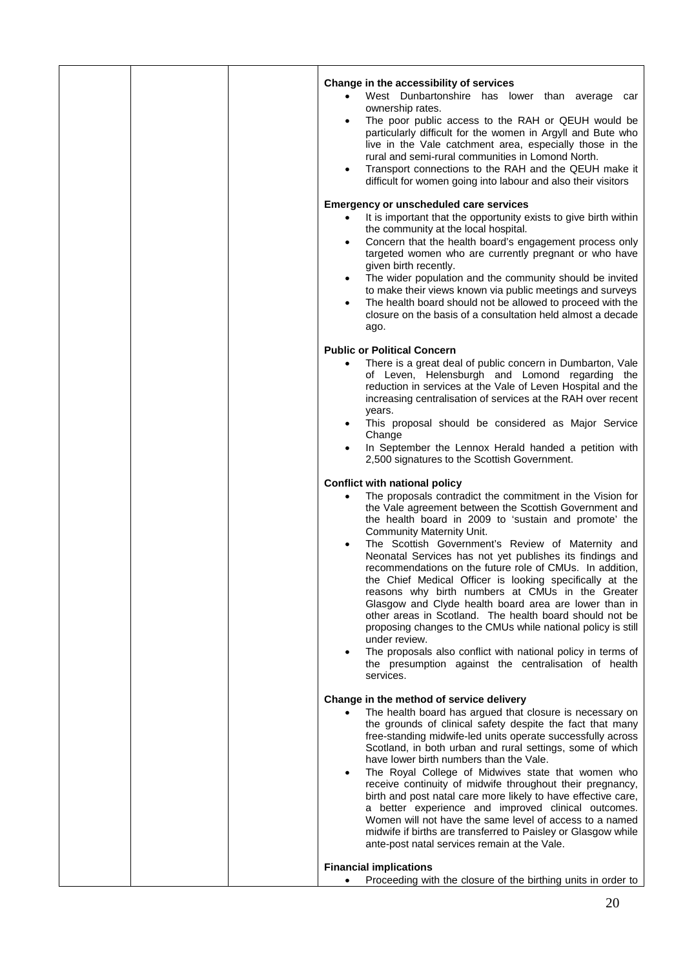| Change in the accessibility of services                                                                                  |
|--------------------------------------------------------------------------------------------------------------------------|
| West Dunbartonshire has lower than average car                                                                           |
| ownership rates.                                                                                                         |
| The poor public access to the RAH or QEUH would be                                                                       |
| particularly difficult for the women in Argyll and Bute who                                                              |
| live in the Vale catchment area, especially those in the<br>rural and semi-rural communities in Lomond North.            |
| Transport connections to the RAH and the QEUH make it<br>$\bullet$                                                       |
| difficult for women going into labour and also their visitors                                                            |
| <b>Emergency or unscheduled care services</b>                                                                            |
| It is important that the opportunity exists to give birth within                                                         |
| the community at the local hospital.                                                                                     |
| Concern that the health board's engagement process only<br>$\bullet$                                                     |
| targeted women who are currently pregnant or who have<br>given birth recently.                                           |
| The wider population and the community should be invited<br>$\bullet$                                                    |
| to make their views known via public meetings and surveys                                                                |
| The health board should not be allowed to proceed with the<br>$\bullet$                                                  |
| closure on the basis of a consultation held almost a decade<br>ago.                                                      |
|                                                                                                                          |
| <b>Public or Political Concern</b>                                                                                       |
| There is a great deal of public concern in Dumbarton, Vale<br>$\bullet$                                                  |
| of Leven, Helensburgh and Lomond regarding the<br>reduction in services at the Vale of Leven Hospital and the            |
| increasing centralisation of services at the RAH over recent                                                             |
| years.                                                                                                                   |
| This proposal should be considered as Major Service                                                                      |
| Change<br>In September the Lennox Herald handed a petition with                                                          |
| 2,500 signatures to the Scottish Government.                                                                             |
| <b>Conflict with national policy</b>                                                                                     |
| The proposals contradict the commitment in the Vision for                                                                |
| the Vale agreement between the Scottish Government and                                                                   |
| the health board in 2009 to 'sustain and promote' the                                                                    |
| <b>Community Maternity Unit.</b><br>The Scottish Government's Review of Maternity and<br>$\bullet$                       |
| Neonatal Services has not yet publishes its findings and                                                                 |
| recommendations on the future role of CMUs. In addition,                                                                 |
| the Chief Medical Officer is looking specifically at the                                                                 |
| reasons why birth numbers at CMUs in the Greater<br>Glasgow and Clyde health board area are lower than in                |
| other areas in Scotland. The health board should not be                                                                  |
| proposing changes to the CMUs while national policy is still                                                             |
| under review.                                                                                                            |
| The proposals also conflict with national policy in terms of<br>the presumption against the centralisation of health     |
| services.                                                                                                                |
| Change in the method of service delivery                                                                                 |
| The health board has argued that closure is necessary on                                                                 |
| the grounds of clinical safety despite the fact that many<br>free-standing midwife-led units operate successfully across |
| Scotland, in both urban and rural settings, some of which                                                                |
| have lower birth numbers than the Vale.                                                                                  |
| The Royal College of Midwives state that women who<br>$\bullet$                                                          |
| receive continuity of midwife throughout their pregnancy,                                                                |
| birth and post natal care more likely to have effective care,<br>a better experience and improved clinical outcomes.     |
| Women will not have the same level of access to a named                                                                  |
| midwife if births are transferred to Paisley or Glasgow while                                                            |
| ante-post natal services remain at the Vale.                                                                             |
| <b>Financial implications</b>                                                                                            |
| Proceeding with the closure of the birthing units in order to                                                            |